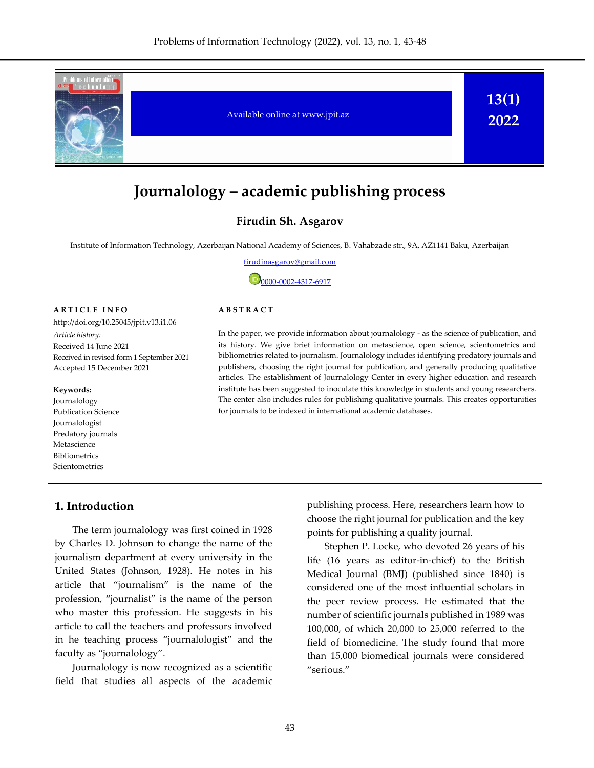

# **Journalology – academic publishing process**

## **Firudin Sh. Asgarov**

Institute of Information Technology, Azerbaijan National Academy of Sciences, B. Vahabzade str., 9A, AZ1141 Baku, Azerbaijan

firudinasgarov@gmail.com

 $\overline{\mathbb{D}}_{0000}$ -0002-4317-6917

#### **A R T I C L E I N F O**

<http://doi.org/10.25045/jpit.v13.i1.06>

*Article history:*  Received 14 June 2021 Received in revised form 1 September 2021 Accepted 15 December 2021

#### **Keywords:**

Journalology Publication Science Journalologist Predatory journals Metascience Bibliometrics Scientometrics

## **A B S T R A C T**

In the paper, we provide information about journalology - as the science of publication, and its history. We give brief information on metascience, open science, scientometrics and bibliometrics related to journalism. Journalology includes identifying predatory journals and publishers, choosing the right journal for publication, and generally producing qualitative articles. The establishment of Journalology Center in every higher education and research institute has been suggested to inoculate this knowledge in students and young researchers. The center also includes rules for publishing qualitative journals. This creates opportunities for journals to be indexed in international academic databases.

### **1. Introduction**

The term journalology was first coined in 1928 by Charles D. Johnson to change the name of the journalism department at every university in the United States (Johnson, 1928). He notes in his article that "journalism" is the name of the profession, "journalist" is the name of the person who master this profession. He suggests in his article to call the teachers and professors involved in he teaching process "journalologist" and the faculty as "journalology".

Journalology is now recognized as a scientific field that studies all aspects of the academic publishing process. Here, researchers learn how to choose the right journal for publication and the key points for publishing a quality journal.

Stephen P. Locke, who devoted 26 years of his life (16 years as editor-in-chief) to the British Medical Journal (BMJ) (published since 1840) is considered one of the most influential scholars in the peer review process. He estimated that the number of scientific journals published in 1989 was 100,000, of which 20,000 to 25,000 referred to the field of biomedicine. The study found that more than 15,000 biomedical journals were considered "serious."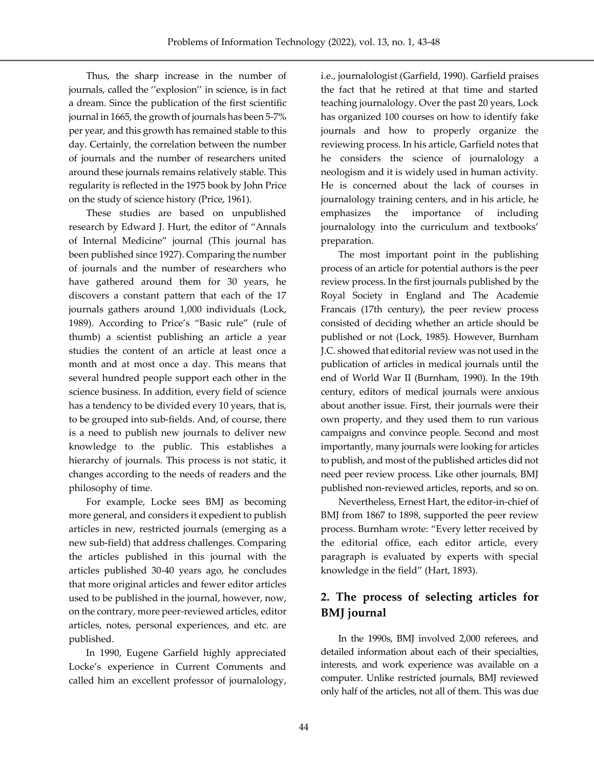Thus, the sharp increase in the number of journals, called the ''explosion'' in science, is in fact a dream. Since the publication of the first scientific journal in 1665, the growth of journals has been 5-7% per year, and this growth has remained stable to this day. Certainly, the correlation between the number of journals and the number of researchers united around these journals remains relatively stable. This regularity is reflected in the 1975 book by John Price on the study of science history (Price, 1961).

These studies are based on unpublished research by Edward J. Hurt, the editor of "Annals of Internal Medicine" journal (This journal has been published since 1927). Comparing the number of journals and the number of researchers who have gathered around them for 30 years, he discovers a constant pattern that each of the 17 journals gathers around 1,000 individuals (Lock, 1989). According to Price's "Basic rule" (rule of thumb) a scientist publishing an article a year studies the content of an article at least once a month and at most once a day. This means that several hundred people support each other in the science business. In addition, every field of science has a tendency to be divided every 10 years, that is, to be grouped into sub-fields. And, of course, there is a need to publish new journals to deliver new knowledge to the public. This establishes a hierarchy of journals. This process is not static, it changes according to the needs of readers and the philosophy of time.

For example, Locke sees BMJ as becoming more general, and considers it expedient to publish articles in new, restricted journals (emerging as a new sub-field) that address challenges. Comparing the articles published in this journal with the articles published 30-40 years ago, he concludes that more original articles and fewer editor articles used to be published in the journal, however, now, on the contrary, more peer-reviewed articles, editor articles, notes, personal experiences, and etc. are published.

In 1990, Eugene Garfield highly appreciated Locke's experience in Current Comments and called him an excellent professor of journalology, i.e., journalologist (Garfield, 1990). Garfield praises the fact that he retired at that time and started teaching journalology. Over the past 20 years, Lock has organized 100 courses on how to identify fake journals and how to properly organize the reviewing process. In his article, Garfield notes that he considers the science of journalology a neologism and it is widely used in human activity. He is concerned about the lack of courses in journalology training centers, and in his article, he emphasizes the importance of including journalology into the curriculum and textbooks' preparation.

The most important point in the publishing process of an article for potential authors is the peer review process. In the first journals published by the Royal Society in England and The Academie Francais (17th century), the peer review process consisted of deciding whether an article should be published or not (Lock, 1985). However, Burnham J.C. showed that editorial review was not used in the publication of articles in medical journals until the end of World War II (Burnham, 1990). In the 19th century, editors of medical journals were anxious about another issue. First, their journals were their own property, and they used them to run various campaigns and convince people. Second and most importantly, many journals were looking for articles to publish, and most of the published articles did not need peer review process. Like other journals, BMJ published non-reviewed articles, reports, and so on.

Nevertheless, Ernest Hart, the editor-in-chief of BMJ from 1867 to 1898, supported the peer review process. Burnham wrote: "Every letter received by the editorial office, each editor article, every paragraph is evaluated by experts with special knowledge in the field" (Hart, 1893).

## **2. The process of selecting articles for BMJ journal**

In the 1990s, BMJ involved 2,000 referees, and detailed information about each of their specialties, interests, and work experience was available on a computer. Unlike restricted journals, BMJ reviewed only half of the articles, not all of them. This was due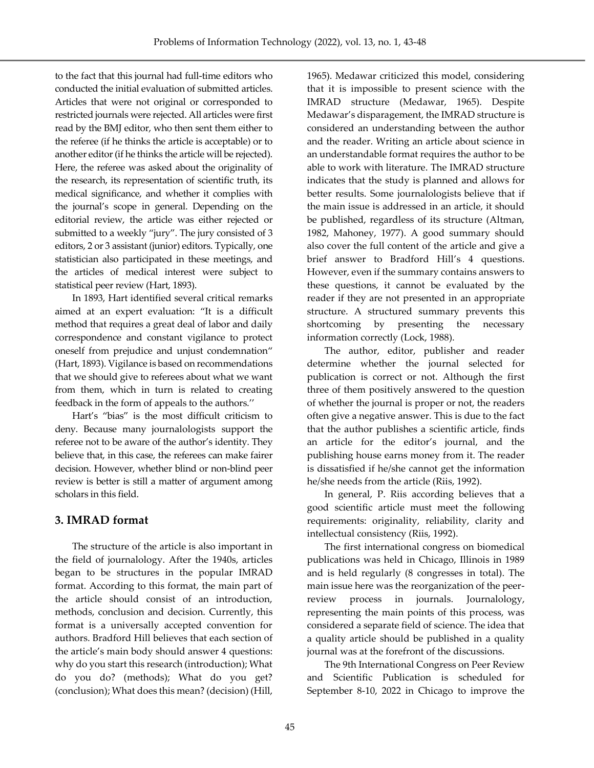to the fact that this journal had full-time editors who conducted the initial evaluation of submitted articles. Articles that were not original or corresponded to restricted journals were rejected. All articles were first read by the BMJ editor, who then sent them either to the referee (if he thinks the article is acceptable) or to another editor (if he thinks the article will be rejected). Here, the referee was asked about the originality of the research, its representation of scientific truth, its medical significance, and whether it complies with the journal's scope in general. Depending on the editorial review, the article was either rejected or submitted to a weekly "jury". The jury consisted of 3 editors, 2 or 3 assistant (junior) editors. Typically, one statistician also participated in these meetings, and the articles of medical interest were subject to statistical peer review (Hart, 1893).

In 1893, Hart identified several critical remarks aimed at an expert evaluation: "It is a difficult method that requires a great deal of labor and daily correspondence and constant vigilance to protect oneself from prejudice and unjust condemnation" (Hart, 1893). Vigilance is based on recommendations that we should give to referees about what we want from them, which in turn is related to creating feedback in the form of appeals to the authors.''

Hart's "bias" is the most difficult criticism to deny. Because many journalologists support the referee not to be aware of the author's identity. They believe that, in this case, the referees can make fairer decision. However, whether blind or non-blind peer review is better is still a matter of argument among scholars in this field.

## **3. IMRAD format**

The structure of the article is also important in the field of journalology. After the 1940s, articles began to be structures in the popular IMRAD format. According to this format, the main part of the article should consist of an introduction, methods, conclusion and decision. Currently, this format is a universally accepted convention for authors. Bradford Hill believes that each section of the article's main body should answer 4 questions: why do you start this research (introduction); What do you do? (methods); What do you get? (conclusion); What does this mean? (decision) (Hill,

1965). Medawar criticized this model, considering that it is impossible to present science with the IMRAD structure (Medawar, 1965). Despite Medawar's disparagement, the IMRAD structure is considered an understanding between the author and the reader. Writing an article about science in an understandable format requires the author to be able to work with literature. The IMRAD structure indicates that the study is planned and allows for better results. Some journalologists believe that if the main issue is addressed in an article, it should be published, regardless of its structure (Altman, 1982, Mahoney, 1977). A good summary should also cover the full content of the article and give a brief answer to Bradford Hill's 4 questions. However, even if the summary contains answers to these questions, it cannot be evaluated by the reader if they are not presented in an appropriate structure. A structured summary prevents this shortcoming by presenting the necessary information correctly (Lock, 1988).

The author, editor, publisher and reader determine whether the journal selected for publication is correct or not. Although the first three of them positively answered to the question of whether the journal is proper or not, the readers often give a negative answer. This is due to the fact that the author publishes a scientific article, finds an article for the editor's journal, and the publishing house earns money from it. The reader is dissatisfied if he/she cannot get the information he/she needs from the article (Riis, 1992).

In general, P. Riis according believes that a good scientific article must meet the following requirements: originality, reliability, clarity and intellectual consistency (Riis, 1992).

The first international congress on biomedical publications was held in Chicago, Illinois in 1989 and is held regularly (8 congresses in total). The main issue here was the reorganization of the peerreview process in journals. Journalology, representing the main points of this process, was considered a separate field of science. The idea that a quality article should be published in a quality journal was at the forefront of the discussions.

The 9th International Congress on Peer Review and Scientific Publication is scheduled for September 8-10, 2022 in Chicago to improve the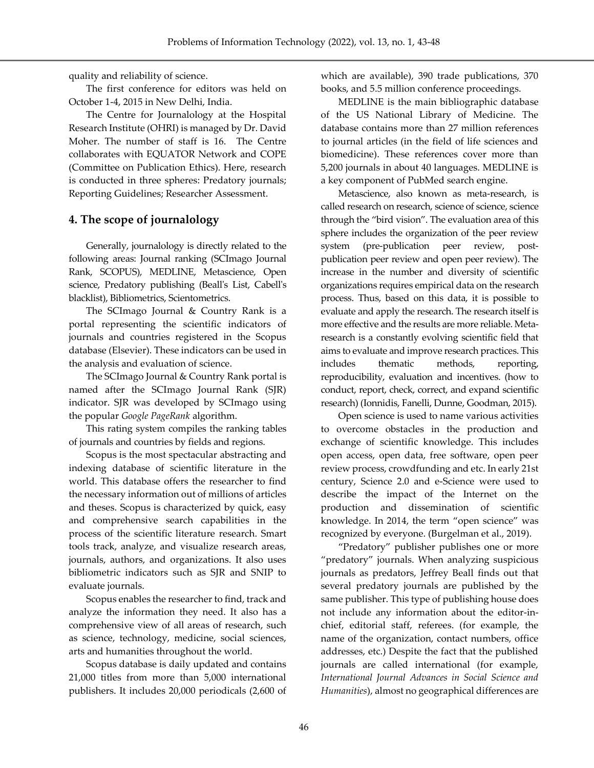quality and reliability of science.

The first conference for editors was held on October 1-4, 2015 in New Delhi, India.

The Centre for Journalology at the Hospital Research Institute (OHRI) is managed by Dr. David Moher. The number of staff is 16. The Centre collaborates with EQUATOR Network and COPE (Committee on Publication Ethics). Here, research is conducted in three spheres: Predatory journals; Reporting Guidelines; Researcher Assessment.

## **4. The scope of journalology**

Generally, journalology is directly related to the following areas: Journal ranking (SCImago Journal Rank, SCOPUS), MEDLINE, Metascience, Open science, Predatory publishing (Beall's List, Cabell's blacklist), Bibliometrics, Scientometrics.

The SCImago Journal & Country Rank is a portal representing the scientific indicators of journals and countries registered in the Scopus database (Elsevier). These indicators can be used in the analysis and evaluation of science.

The SCImago Journal & Country Rank portal is named after the SCImago Journal Rank (SJR) indicator. SJR was developed by SCImago using the popular *Google PageRank* algorithm.

This rating system compiles the ranking tables of journals and countries by fields and regions.

Scopus is the most spectacular abstracting and indexing database of scientific literature in the world. This database offers the researcher to find the necessary information out of millions of articles and theses. Scopus is characterized by quick, easy and comprehensive search capabilities in the process of the scientific literature research. Smart tools track, analyze, and visualize research areas, journals, authors, and organizations. It also uses bibliometric indicators such as SJR and SNIP to evaluate journals.

Scopus enables the researcher to find, track and analyze the information they need. It also has a comprehensive view of all areas of research, such as science, technology, medicine, social sciences, arts and humanities throughout the world.

Scopus database is daily updated and contains 21,000 titles from more than 5,000 international publishers. It includes 20,000 periodicals (2,600 of which are available), 390 trade publications, 370 books, and 5.5 million conference proceedings.

MEDLINE is the main bibliographic database of the US National Library of Medicine. The database contains more than 27 million references to journal articles (in the field of life sciences and biomedicine). These references cover more than 5,200 journals in about 40 languages. MEDLINE is a key component of PubMed search engine.

Metascience, also known as meta-research, is called research on research, science of science, science through the "bird vision". The evaluation area of this sphere includes the organization of the peer review system (pre-publication peer review, postpublication peer review and open peer review). The increase in the number and diversity of scientific organizations requires empirical data on the research process. Thus, based on this data, it is possible to evaluate and apply the research. The research itself is more effective and the results are more reliable. Metaresearch is a constantly evolving scientific field that aims to evaluate and improve research practices. This includes thematic methods, reporting, reproducibility, evaluation and incentives. (how to conduct, report, check, correct, and expand scientific research) (Ionnidis, Fanelli, Dunne, Goodman, 2015).

Open science is used to name various activities to overcome obstacles in the production and exchange of scientific knowledge. This includes open access, open data, free software, open peer review process, crowdfunding and etc. In early 21st century, Science 2.0 and e-Science were used to describe the impact of the Internet on the production and dissemination of scientific knowledge. In 2014, the term "open science" was recognized by everyone. (Burgelman et al., 2019).

"Predatory" publisher publishes one or more "predatory" journals. When analyzing suspicious journals as predators, Jeffrey Beall finds out that several predatory journals are published by the same publisher. This type of publishing house does not include any information about the editor-inchief, editorial staff, referees. (for example, the name of the organization, contact numbers, office addresses, etc.) Despite the fact that the published journals are called international (for example, *International Journal Advances in Social Science and Humanities*), almost no geographical differences are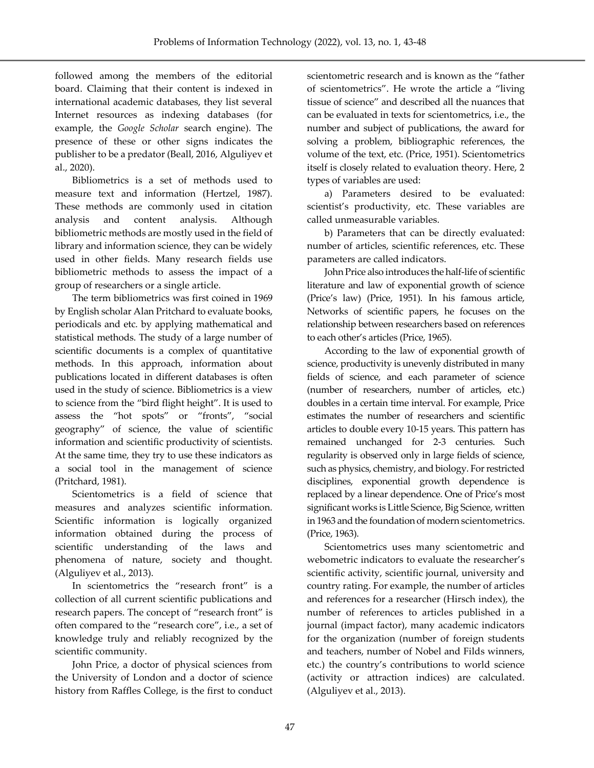followed among the members of the editorial board. Claiming that their content is indexed in international academic databases, they list several Internet resources as indexing databases (for example, the *Google Scholar* search engine). The presence of these or other signs indicates the publisher to be a predator (Beall, 2016, Alguliyev et al., 2020).

Bibliometrics is a set of methods used to measure text and information (Hertzel, 1987). These methods are commonly used in citation analysis and content analysis. Although bibliometric methods are mostly used in the field of library and information science, they can be widely used in other fields. Many research fields use bibliometric methods to assess the impact of a group of researchers or a single article.

The term bibliometrics was first coined in 1969 by English scholar Alan Pritchard to evaluate books, periodicals and etc. by applying mathematical and statistical methods. The study of a large number of scientific documents is a complex of quantitative methods. In this approach, information about publications located in different databases is often used in the study of science. Bibliometrics is a view to science from the "bird flight height". It is used to assess the "hot spots" or "fronts", "social geography" of science, the value of scientific information and scientific productivity of scientists. At the same time, they try to use these indicators as a social tool in the management of science (Pritchard, 1981).

Scientometrics is a field of science that measures and analyzes scientific information. Scientific information is logically organized information obtained during the process of scientific understanding of the laws and phenomena of nature, society and thought. (Alguliyev et al., 2013).

In scientometrics the "research front" is a collection of all current scientific publications and research papers. The concept of "research front" is often compared to the "research core", i.e., a set of knowledge truly and reliably recognized by the scientific community.

John Price, a doctor of physical sciences from the University of London and a doctor of science history from Raffles College, is the first to conduct scientometric research and is known as the "father of scientometrics". He wrote the article a "living tissue of science" and described all the nuances that can be evaluated in texts for scientometrics, i.e., the number and subject of publications, the award for solving a problem, bibliographic references, the volume of the text, etc. (Price, 1951). Scientometrics itself is closely related to evaluation theory. Here, 2 types of variables are used:

a) Parameters desired to be evaluated: scientist's productivity, etc. These variables are called unmeasurable variables.

b) Parameters that can be directly evaluated: number of articles, scientific references, etc. These parameters are called indicators.

John Price also introduces the half-life of scientific literature and law of exponential growth of science (Price's law) (Price, 1951). In his famous article, Networks of scientific papers, he focuses on the relationship between researchers based on references to each other's articles (Price, 1965).

According to the law of exponential growth of science, productivity is unevenly distributed in many fields of science, and each parameter of science (number of researchers, number of articles, etc.) doubles in a certain time interval. For example, Price estimates the number of researchers and scientific articles to double every 10-15 years. This pattern has remained unchanged for 2-3 centuries. Such regularity is observed only in large fields of science, such as physics, chemistry, and biology. For restricted disciplines, exponential growth dependence is replaced by a linear dependence. One of Price's most significant works is Little Science, Big Science, written in 1963 and the foundation of modern scientometrics. (Price, 1963).

Scientometrics uses many scientometric and webometric indicators to evaluate the researcher's scientific activity, scientific journal, university and country rating. For example, the number of articles and references for a researcher (Hirsch index), the number of references to articles published in a journal (impact factor), many academic indicators for the organization (number of foreign students and teachers, number of Nobel and Filds winners, etc.) the country's contributions to world science (activity or attraction indices) are calculated. (Alguliyev et al., 2013).